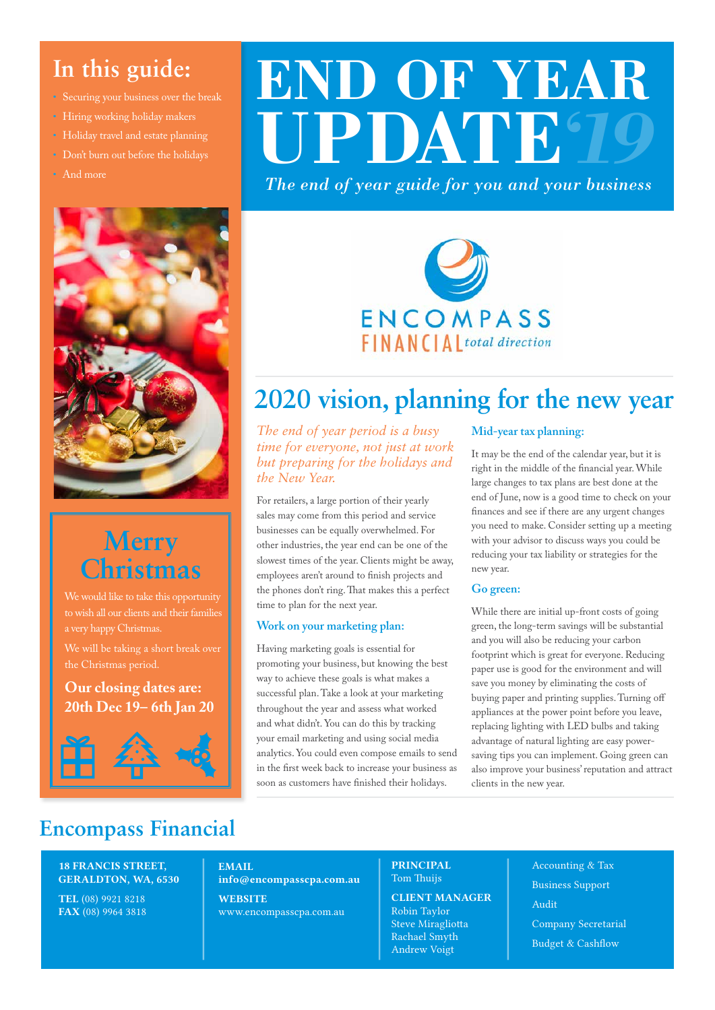### **In this guide:**

- Securing your business over the break
- Hiring working holiday makers
- Holiday travel and estate planning
- Don't burn out before the holidays
- And more



# **Merry Christmas**

We would like to take this opportunity to wish all our clients and their families a very happy Christmas.

We will be taking a short break over

#### **Our closing dates are: 20th Dec 19– 6th Jan 20**



# **END OF YEAR UPDATE** *'19*

*The end of year guide for you and your business*



# **2020 vision, planning for the new year**

*The end of year period is a busy time for everyone, not just at work but preparing for the holidays and the New Year.* 

For retailers, a large portion of their yearly sales may come from this period and service businesses can be equally overwhelmed. For other industries, the year end can be one of the slowest times of the year. Clients might be away, employees aren't around to finish projects and the phones don't ring. That makes this a perfect time to plan for the next year.

#### **Work on your marketing plan:**

Having marketing goals is essential for promoting your business, but knowing the best way to achieve these goals is what makes a successful plan. Take a look at your marketing throughout the year and assess what worked and what didn't. You can do this by tracking your email marketing and using social media analytics. You could even compose emails to send in the first week back to increase your business as soon as customers have finished their holidays.

#### **Mid-year tax planning:**

It may be the end of the calendar year, but it is right in the middle of the financial year. While large changes to tax plans are best done at the end of June, now is a good time to check on your finances and see if there are any urgent changes you need to make. Consider setting up a meeting with your advisor to discuss ways you could be reducing your tax liability or strategies for the new year.

#### **Go green:**

While there are initial up-front costs of going green, the long-term savings will be substantial and you will also be reducing your carbon footprint which is great for everyone. Reducing paper use is good for the environment and will save you money by eliminating the costs of buying paper and printing supplies. Turning off appliances at the power point before you leave, replacing lighting with LED bulbs and taking advantage of natural lighting are easy powersaving tips you can implement. Going green can also improve your business' reputation and attract clients in the new year.

### **Encompass Financial**

#### 18 FRANCIS STREET, GERALDTON, WA, 6530

TEL (08) 9921 8218 FAX (08) 9964 3818

EMAIL info@encompasscpa.com.au **WEBSITE** 

www.encompasscpa.com.au

#### PRINCIPAL Tom Thuijs

#### CLIENT MANAGER

Robin Taylor Steve Miragliotta Rachael Smyth Andrew Voigt

Accounting & Tax Business Support Audit Company Secretarial Budget & Cashflow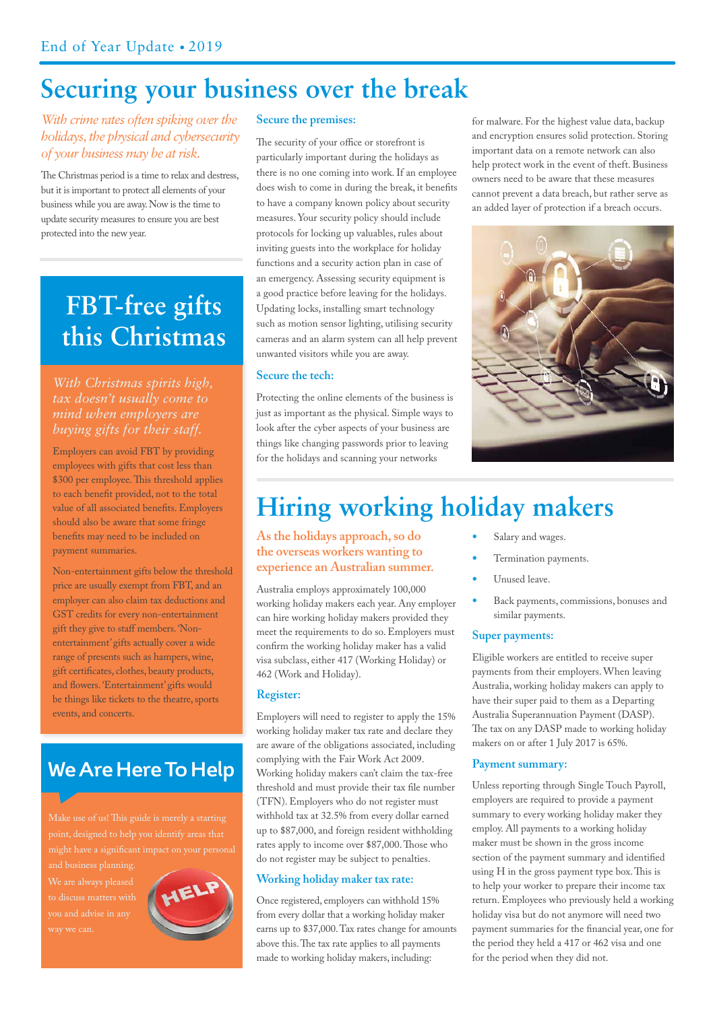### **Securing your business over the break**

#### *With crime rates often spiking over the holidays, the physical and cybersecurity of your business may be at risk.*

The Christmas period is a time to relax and destress, but it is important to protect all elements of your business while you are away. Now is the time to update security measures to ensure you are best protected into the new year.

## **FBT-free gifts this Christmas**

# *With Christmas spirits high, buying gifts for their staff.*

Employers can avoid FBT by providing employees with gifts that cost less than \$300 per employee. This threshold applies to each benefit provided, not to the total value of all associated benefits. Employers should also be aware that some fringe benefits may need to be included on payment summaries.

Non-entertainment gifts below the threshold price are usually exempt from FBT, and an employer can also claim tax deductions and GST credits for every non-entertainment gift they give to staff members. 'Nonentertainment' gifts actually cover a wide range of presents such as hampers, wine, gift certificates, clothes, beauty products, and flowers. 'Entertainment' gifts would be things like tickets to the theatre, sports events, and concerts.

### **We Are Here To Help**

you and advise in any



#### **Secure the premises:**

The security of your office or storefront is particularly important during the holidays as there is no one coming into work. If an employee does wish to come in during the break, it benefits to have a company known policy about security measures. Your security policy should include protocols for locking up valuables, rules about inviting guests into the workplace for holiday functions and a security action plan in case of an emergency. Assessing security equipment is a good practice before leaving for the holidays. Updating locks, installing smart technology such as motion sensor lighting, utilising security cameras and an alarm system can all help prevent unwanted visitors while you are away.

#### **Secure the tech:**

Protecting the online elements of the business is just as important as the physical. Simple ways to look after the cyber aspects of your business are things like changing passwords prior to leaving for the holidays and scanning your networks

for malware. For the highest value data, backup and encryption ensures solid protection. Storing important data on a remote network can also help protect work in the event of theft. Business owners need to be aware that these measures cannot prevent a data breach, but rather serve as an added layer of protection if a breach occurs.



# **Hiring working holiday makers**

**As the holidays approach, so do the overseas workers wanting to experience an Australian summer.**

Australia employs approximately 100,000 working holiday makers each year. Any employer can hire working holiday makers provided they meet the requirements to do so. Employers must confirm the working holiday maker has a valid visa subclass, either 417 (Working Holiday) or 462 (Work and Holiday).

#### **Register:**

Employers will need to register to apply the 15% working holiday maker tax rate and declare they are aware of the obligations associated, including complying with the Fair Work Act 2009. Working holiday makers can't claim the tax-free threshold and must provide their tax file number (TFN). Employers who do not register must withhold tax at 32.5% from every dollar earned up to \$87,000, and foreign resident withholding rates apply to income over \$87,000. Those who do not register may be subject to penalties.

#### **Working holiday maker tax rate:**

Once registered, employers can withhold 15% from every dollar that a working holiday maker earns up to \$37,000. Tax rates change for amounts above this. The tax rate applies to all payments made to working holiday makers, including:

- **•** Salary and wages.
- **•** Termination payments.
- **•** Unused leave.
- **•** Back payments, commissions, bonuses and similar payments.

#### **Super payments:**

Eligible workers are entitled to receive super payments from their employers. When leaving Australia, working holiday makers can apply to have their super paid to them as a Departing Australia Superannuation Payment (DASP). The tax on any DASP made to working holiday makers on or after 1 July 2017 is 65%.

#### **Payment summary:**

Unless reporting through Single Touch Payroll, employers are required to provide a payment summary to every working holiday maker they employ. All payments to a working holiday maker must be shown in the gross income section of the payment summary and identified using H in the gross payment type box. This is to help your worker to prepare their income tax return. Employees who previously held a working holiday visa but do not anymore will need two payment summaries for the financial year, one for the period they held a 417 or 462 visa and one for the period when they did not.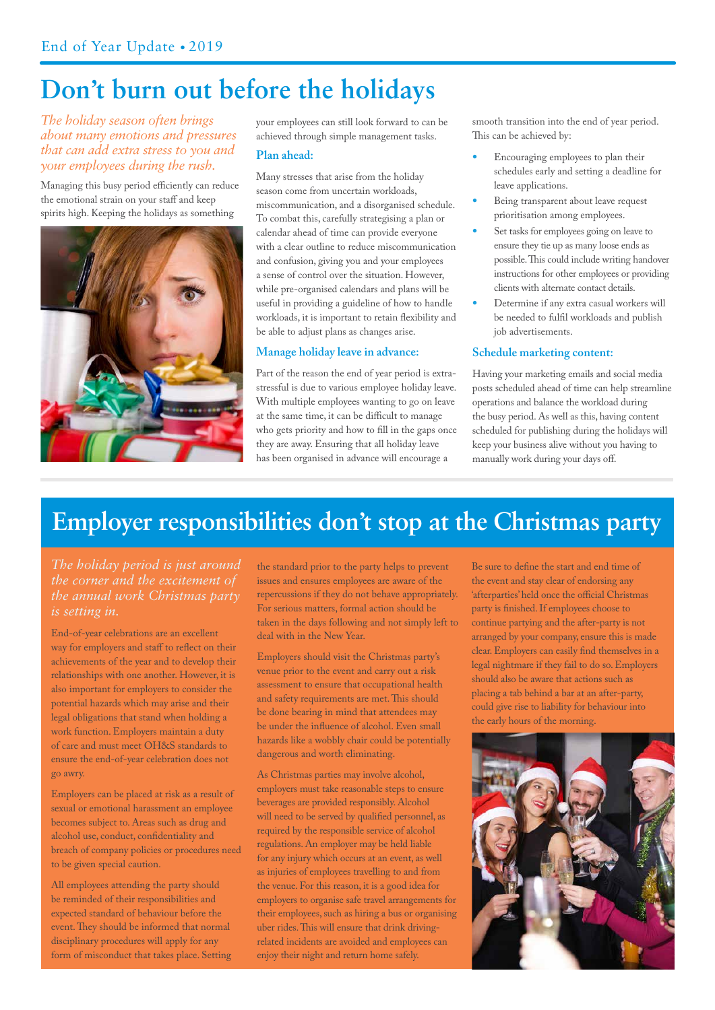### **Don't burn out before the holidays**

#### *The holiday season often brings about many emotions and pressures that can add extra stress to you and your employees during the rush.*

Managing this busy period efficiently can reduce the emotional strain on your staff and keep spirits high. Keeping the holidays as something



your employees can still look forward to can be achieved through simple management tasks.

#### **Plan ahead:**

Many stresses that arise from the holiday season come from uncertain workloads, miscommunication, and a disorganised schedule. To combat this, carefully strategising a plan or calendar ahead of time can provide everyone with a clear outline to reduce miscommunication and confusion, giving you and your employees a sense of control over the situation. However, while pre-organised calendars and plans will be useful in providing a guideline of how to handle workloads, it is important to retain flexibility and be able to adjust plans as changes arise.

#### **Manage holiday leave in advance:**

Part of the reason the end of year period is extrastressful is due to various employee holiday leave. With multiple employees wanting to go on leave at the same time, it can be difficult to manage who gets priority and how to fill in the gaps once they are away. Ensuring that all holiday leave has been organised in advance will encourage a

smooth transition into the end of year period. This can be achieved by:

- **•** Encouraging employees to plan their schedules early and setting a deadline for leave applications.
- **•** Being transparent about leave request prioritisation among employees.
- **•** Set tasks for employees going on leave to ensure they tie up as many loose ends as possible. This could include writing handover instructions for other employees or providing clients with alternate contact details.
- **•** Determine if any extra casual workers will be needed to fulfil workloads and publish job advertisements.

#### **Schedule marketing content:**

Having your marketing emails and social media posts scheduled ahead of time can help streamline operations and balance the workload during the busy period. As well as this, having content scheduled for publishing during the holidays will keep your business alive without you having to manually work during your days off.

### **Employer responsibilities don't stop at the Christmas party**

*The holiday period is just around is setting in.* 

End-of-year celebrations are an excellent way for employers and staff to reflect on their achievements of the year and to develop their relationships with one another. However, it is also important for employers to consider the potential hazards which may arise and their legal obligations that stand when holding a work function. Employers maintain a duty of care and must meet OH&S standards to ensure the end-of-year celebration does not go awry.

Employers can be placed at risk as a result of sexual or emotional harassment an employee becomes subject to. Areas such as drug and alcohol use, conduct, confidentiality and breach of company policies or procedures need to be given special caution.

All employees attending the party should be reminded of their responsibilities and expected standard of behaviour before the event. They should be informed that normal disciplinary procedures will apply for any form of misconduct that takes place. Setting the standard prior to the party helps to prevent issues and ensures employees are aware of the repercussions if they do not behave appropriately. For serious matters, formal action should be taken in the days following and not simply left to deal with in the New Year.

Employers should visit the Christmas party's venue prior to the event and carry out a risk assessment to ensure that occupational health and safety requirements are met. This should be done bearing in mind that attendees may be under the influence of alcohol. Even small hazards like a wobbly chair could be potentially dangerous and worth eliminating.

As Christmas parties may involve alcohol, employers must take reasonable steps to ensure beverages are provided responsibly. Alcohol will need to be served by qualified personnel, as required by the responsible service of alcohol regulations. An employer may be held liable for any injury which occurs at an event, as well as injuries of employees travelling to and from the venue. For this reason, it is a good idea for employers to organise safe travel arrangements for their employees, such as hiring a bus or organising uber rides. This will ensure that drink drivingrelated incidents are avoided and employees can enjoy their night and return home safely.

Be sure to define the start and end time of the event and stay clear of endorsing any 'afterparties' held once the official Christmas party is finished. If employees choose to continue partying and the after-party is not arranged by your company, ensure this is made clear. Employers can easily find themselves in a legal nightmare if they fail to do so. Employers should also be aware that actions such as placing a tab behind a bar at an after-party, could give rise to liability for behaviour into the early hours of the morning.